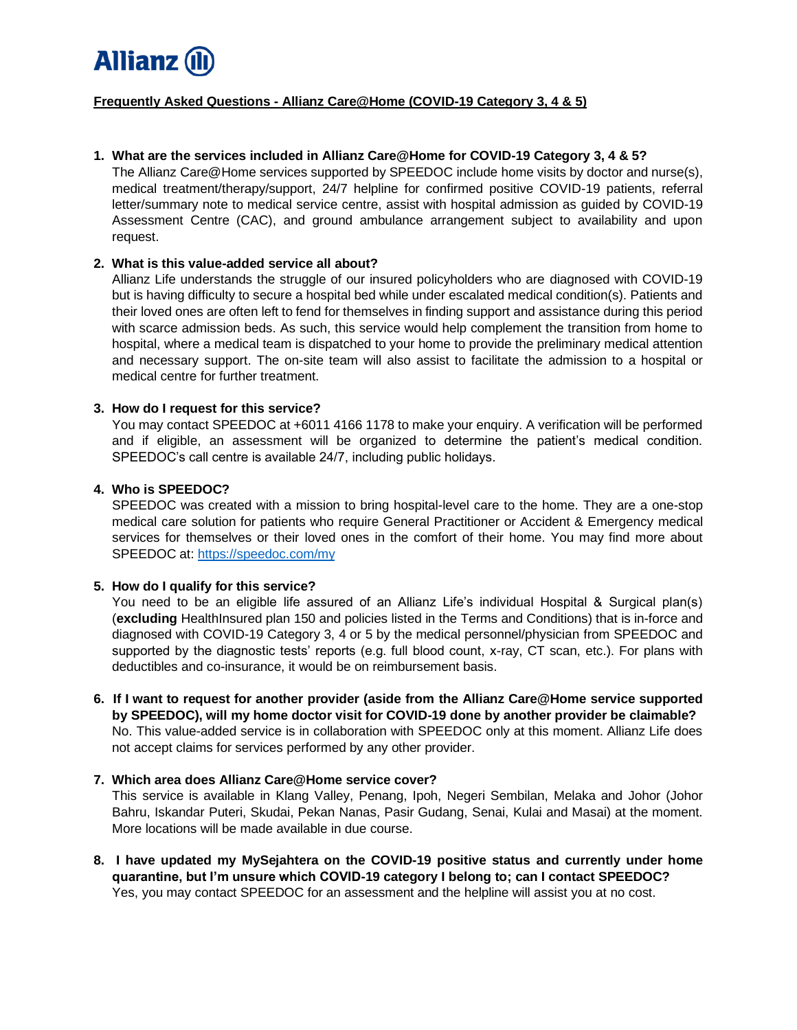

# **Frequently Asked Questions - Allianz Care@Home (COVID-19 Category 3, 4 & 5)**

### **1. What are the services included in Allianz Care@Home for COVID-19 Category 3, 4 & 5?**

The Allianz Care@Home services supported by SPEEDOC include home visits by doctor and nurse(s), medical treatment/therapy/support, 24/7 helpline for confirmed positive COVID-19 patients, referral letter/summary note to medical service centre, assist with hospital admission as guided by COVID-19 Assessment Centre (CAC), and ground ambulance arrangement subject to availability and upon request.

### **2. What is this value-added service all about?**

Allianz Life understands the struggle of our insured policyholders who are diagnosed with COVID-19 but is having difficulty to secure a hospital bed while under escalated medical condition(s). Patients and their loved ones are often left to fend for themselves in finding support and assistance during this period with scarce admission beds. As such, this service would help complement the transition from home to hospital, where a medical team is dispatched to your home to provide the preliminary medical attention and necessary support. The on-site team will also assist to facilitate the admission to a hospital or medical centre for further treatment.

# **3. How do I request for this service?**

You may contact SPEEDOC at +6011 4166 1178 to make your enquiry. A verification will be performed and if eligible, an assessment will be organized to determine the patient's medical condition. SPEEDOC's call centre is available 24/7, including public holidays.

# **4. Who is SPEEDOC?**

SPEEDOC was created with a mission to bring hospital-level care to the home. They are a one-stop medical care solution for patients who require General Practitioner or Accident & Emergency medical services for themselves or their loved ones in the comfort of their home. You may find more about SPEEDOC at:<https://speedoc.com/my>

# **5. How do I qualify for this service?**

You need to be an eligible life assured of an Allianz Life's individual Hospital & Surgical plan(s) (**excluding** HealthInsured plan 150 and policies listed in the Terms and Conditions) that is in-force and diagnosed with COVID-19 Category 3, 4 or 5 by the medical personnel/physician from SPEEDOC and supported by the diagnostic tests' reports (e.g. full blood count, x-ray, CT scan, etc.). For plans with deductibles and co-insurance, it would be on reimbursement basis.

**6. If I want to request for another provider (aside from the Allianz Care@Home service supported by SPEEDOC), will my home doctor visit for COVID-19 done by another provider be claimable?** No. This value-added service is in collaboration with SPEEDOC only at this moment. Allianz Life does not accept claims for services performed by any other provider.

### **7. Which area does Allianz Care@Home service cover?**

This service is available in Klang Valley, Penang, Ipoh, Negeri Sembilan, Melaka and Johor (Johor Bahru, Iskandar Puteri, Skudai, Pekan Nanas, Pasir Gudang, Senai, Kulai and Masai) at the moment. More locations will be made available in due course.

**8. I have updated my MySejahtera on the COVID-19 positive status and currently under home quarantine, but I'm unsure which COVID-19 category I belong to; can I contact SPEEDOC?** Yes, you may contact SPEEDOC for an assessment and the helpline will assist you at no cost.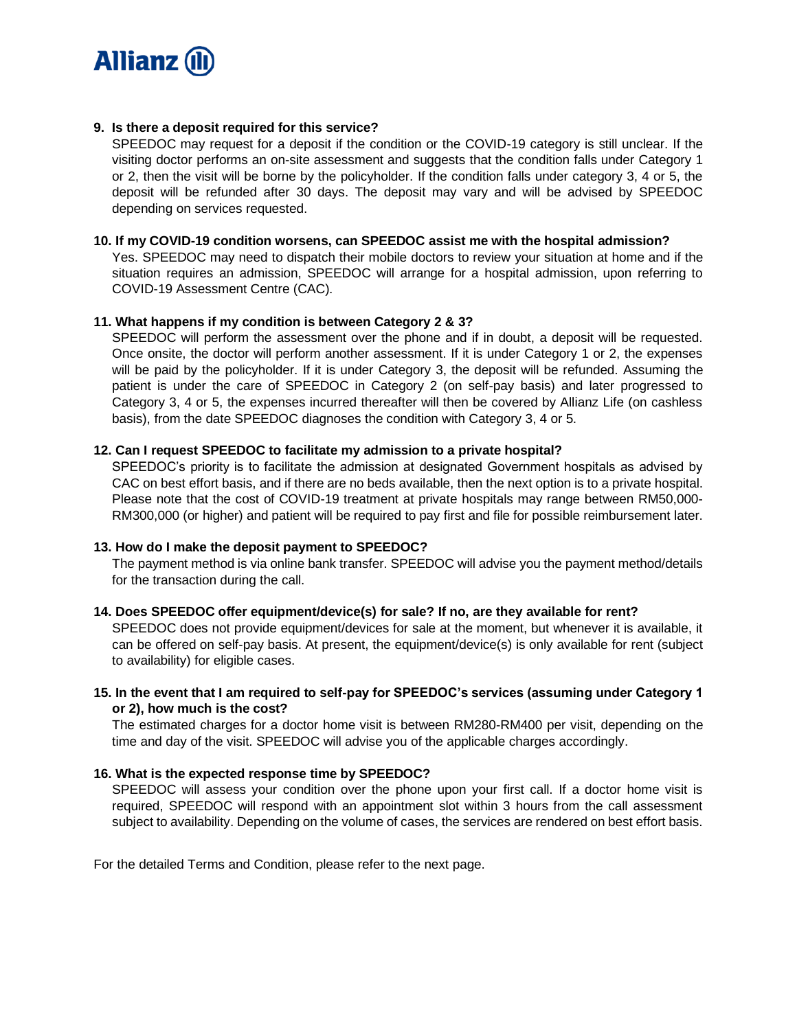

# **9. Is there a deposit required for this service?**

SPEEDOC may request for a deposit if the condition or the COVID-19 category is still unclear. If the visiting doctor performs an on-site assessment and suggests that the condition falls under Category 1 or 2, then the visit will be borne by the policyholder. If the condition falls under category 3, 4 or 5, the deposit will be refunded after 30 days. The deposit may vary and will be advised by SPEEDOC depending on services requested.

## **10. If my COVID-19 condition worsens, can SPEEDOC assist me with the hospital admission?**

Yes. SPEEDOC may need to dispatch their mobile doctors to review your situation at home and if the situation requires an admission, SPEEDOC will arrange for a hospital admission, upon referring to COVID-19 Assessment Centre (CAC).

# **11. What happens if my condition is between Category 2 & 3?**

SPEEDOC will perform the assessment over the phone and if in doubt, a deposit will be requested. Once onsite, the doctor will perform another assessment. If it is under Category 1 or 2, the expenses will be paid by the policyholder. If it is under Category 3, the deposit will be refunded. Assuming the patient is under the care of SPEEDOC in Category 2 (on self-pay basis) and later progressed to Category 3, 4 or 5, the expenses incurred thereafter will then be covered by Allianz Life (on cashless basis), from the date SPEEDOC diagnoses the condition with Category 3, 4 or 5.

## **12. Can I request SPEEDOC to facilitate my admission to a private hospital?**

SPEEDOC's priority is to facilitate the admission at designated Government hospitals as advised by CAC on best effort basis, and if there are no beds available, then the next option is to a private hospital. Please note that the cost of COVID-19 treatment at private hospitals may range between RM50,000- RM300,000 (or higher) and patient will be required to pay first and file for possible reimbursement later.

### **13. How do I make the deposit payment to SPEEDOC?**

The payment method is via online bank transfer. SPEEDOC will advise you the payment method/details for the transaction during the call.

### **14. Does SPEEDOC offer equipment/device(s) for sale? If no, are they available for rent?**

SPEEDOC does not provide equipment/devices for sale at the moment, but whenever it is available, it can be offered on self-pay basis. At present, the equipment/device(s) is only available for rent (subject to availability) for eligible cases.

# **15. In the event that I am required to self-pay for SPEEDOC's services (assuming under Category 1 or 2), how much is the cost?**

The estimated charges for a doctor home visit is between RM280-RM400 per visit, depending on the time and day of the visit. SPEEDOC will advise you of the applicable charges accordingly.

# **16. What is the expected response time by SPEEDOC?**

SPEEDOC will assess your condition over the phone upon your first call. If a doctor home visit is required, SPEEDOC will respond with an appointment slot within 3 hours from the call assessment subject to availability. Depending on the volume of cases, the services are rendered on best effort basis.

For the detailed Terms and Condition, please refer to the next page.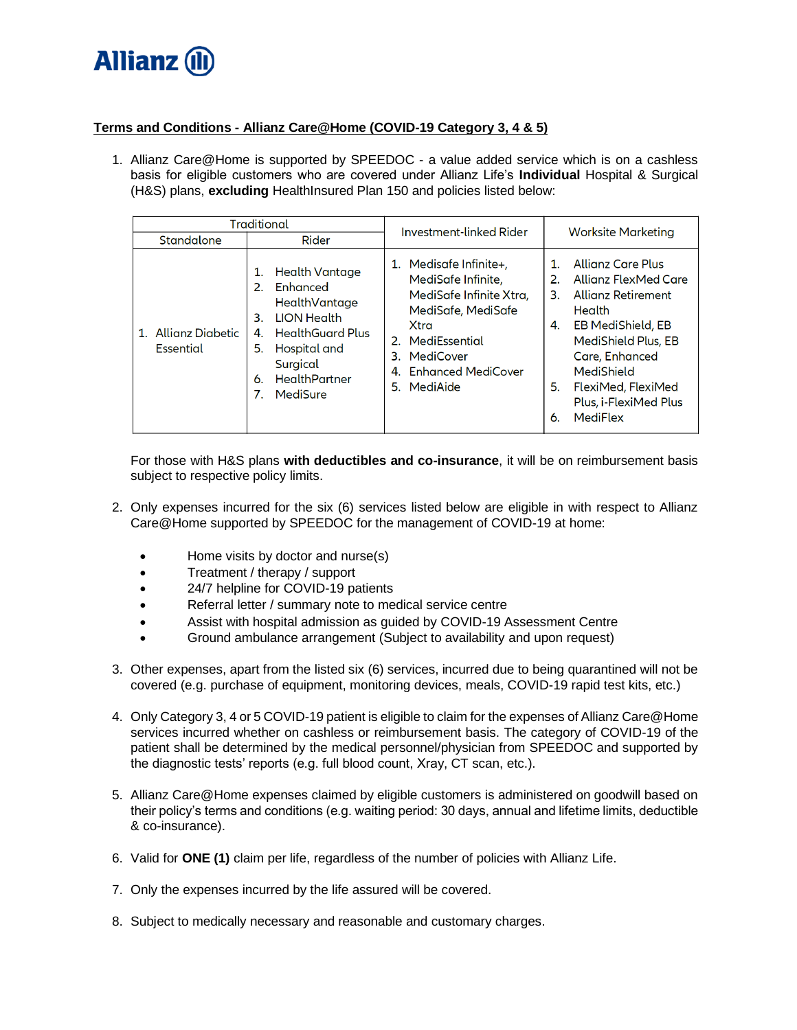

# **Terms and Conditions - Allianz Care@Home (COVID-19 Category 3, 4 & 5)**

1. Allianz Care@Home is supported by SPEEDOC - a value added service which is on a cashless basis for eligible customers who are covered under Allianz Life's **Individual** Hospital & Surgical (H&S) plans, **excluding** HealthInsured Plan 150 and policies listed below:

| <b>Traditional</b>               |                                                                                                                                                                                                               | Investment-linked Rider                                                                                                                                                                              | <b>Worksite Marketing</b>                                                                                                                                                                                                                                                               |
|----------------------------------|---------------------------------------------------------------------------------------------------------------------------------------------------------------------------------------------------------------|------------------------------------------------------------------------------------------------------------------------------------------------------------------------------------------------------|-----------------------------------------------------------------------------------------------------------------------------------------------------------------------------------------------------------------------------------------------------------------------------------------|
| Standalone                       | Rider                                                                                                                                                                                                         |                                                                                                                                                                                                      |                                                                                                                                                                                                                                                                                         |
| 1. Allianz Diabetic<br>Essential | <b>Health Vantage</b><br>1.<br>Enhanced<br>2.<br>HealthVantage<br><b>LION Health</b><br>З.<br><b>HealthGuard Plus</b><br>4.<br>5.<br>Hospital and<br>Surgical<br><b>HealthPartner</b><br>6.<br>7.<br>MediSure | Medisafe Infinite+,<br>1.<br>MediSafe Infinite,<br>MediSafe Infinite Xtra,<br>MediSafe, MediSafe<br>Xtra<br>2. MediEssential<br>MediCover<br>З.<br><b>Enhanced MediCover</b><br>4.<br>MediAide<br>5. | <b>Allianz Care Plus</b><br>1.<br>2.<br>Allianz FlexMed Care<br><b>Allianz Retirement</b><br>3.<br><b>Health</b><br><b>EB MediShield, EB</b><br>4.<br>MediShield Plus, EB<br>Care, Enhanced<br>MediShield<br>FlexiMed, FlexiMed<br>5.<br>Plus, i-FlexiMed Plus<br><b>MediFlex</b><br>6. |

For those with H&S plans **with deductibles and co-insurance**, it will be on reimbursement basis subject to respective policy limits.

- 2. Only expenses incurred for the six (6) services listed below are eligible in with respect to Allianz Care@Home supported by SPEEDOC for the management of COVID-19 at home:
	- Home visits by doctor and nurse(s)
	- Treatment / therapy / support
	- 24/7 helpline for COVID-19 patients
	- Referral letter / summary note to medical service centre
	- Assist with hospital admission as guided by COVID-19 Assessment Centre
	- Ground ambulance arrangement (Subject to availability and upon request)
- 3. Other expenses, apart from the listed six (6) services, incurred due to being quarantined will not be covered (e.g. purchase of equipment, monitoring devices, meals, COVID-19 rapid test kits, etc.)
- 4. Only Category 3, 4 or 5 COVID-19 patient is eligible to claim for the expenses of Allianz Care@Home services incurred whether on cashless or reimbursement basis. The category of COVID-19 of the patient shall be determined by the medical personnel/physician from SPEEDOC and supported by the diagnostic tests' reports (e.g. full blood count, Xray, CT scan, etc.).
- 5. Allianz Care@Home expenses claimed by eligible customers is administered on goodwill based on their policy's terms and conditions (e.g. waiting period: 30 days, annual and lifetime limits, deductible & co-insurance).
- 6. Valid for **ONE (1)** claim per life, regardless of the number of policies with Allianz Life.
- 7. Only the expenses incurred by the life assured will be covered.
- 8. Subject to medically necessary and reasonable and customary charges.